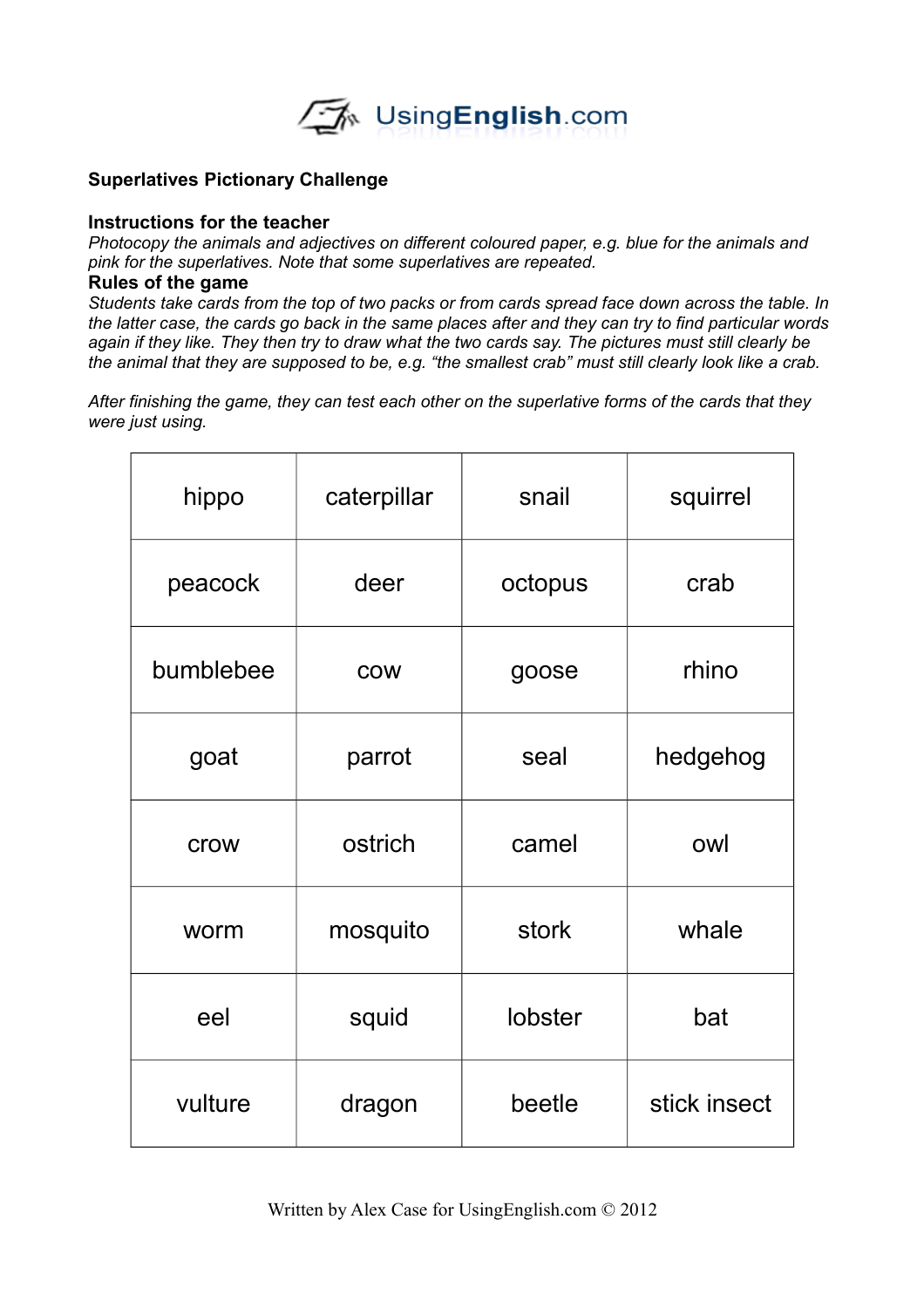

## **Superlatives Pictionary Challenge**

## **Instructions for the teacher**

*Photocopy the animals and adjectives on different coloured paper, e.g. blue for the animals and pink for the superlatives. Note that some superlatives are repeated.*

## **Rules of the game**

Students take cards from the top of two packs or from cards spread face down across the table. In the latter case, the cards go back in the same places after and they can try to find particular words again if they like. They then try to draw what the two cards say. The pictures must still clearly be *the animal that they are supposed to be, e.g. "the smallest crab" must still clearly look like a crab.*

*After finishing the game, they can test each other on the superlative forms of the cards that they were just using.*

| hippo     | caterpillar | snail   | squirrel     |
|-----------|-------------|---------|--------------|
| peacock   | deer        | octopus | crab         |
| bumblebee | <b>COW</b>  | goose   | rhino        |
| goat      | parrot      | seal    | hedgehog     |
| crow      | ostrich     | camel   | owl          |
| worm      | mosquito    | stork   | whale        |
| eel       | squid       | lobster | bat          |
| vulture   | dragon      | beetle  | stick insect |